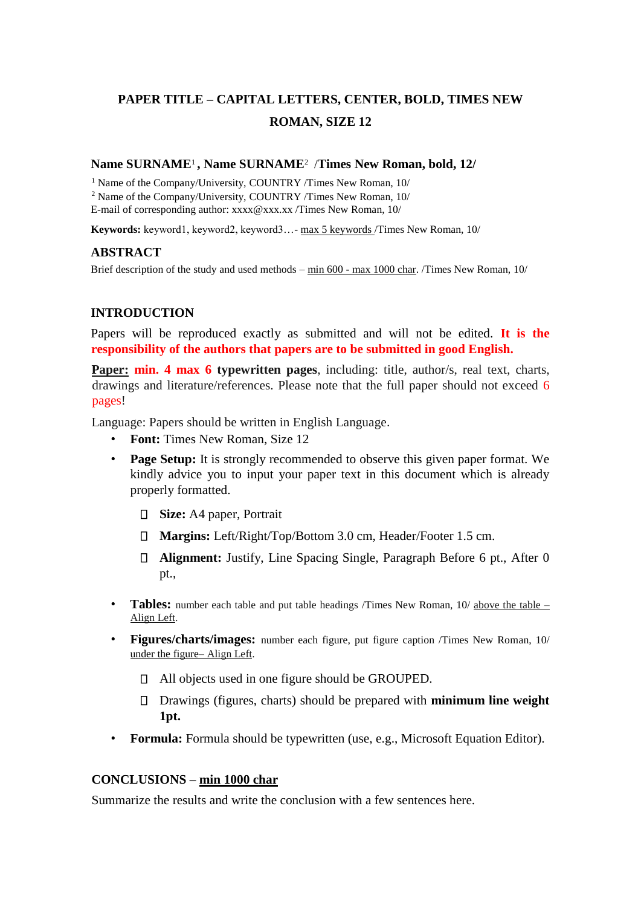# **PAPER TITLE – CAPITAL LETTERS, CENTER, BOLD, TIMES NEW ROMAN, SIZE 12**

# **Name SURNAME**1 **, Name SURNAME**<sup>2</sup> /**Times New Roman, bold, 12/**

<sup>1</sup> Name of the Company/University, COUNTRY /Times New Roman, 10/ <sup>2</sup> Name of the Company/University, COUNTRY /Times New Roman, 10/ E-mail of corresponding author: xxxx@xxx.xx /Times New Roman, 10/

**Keywords:** keyword1, keyword2, keyword3…- max 5 keywords /Times New Roman, 10/

## **ABSTRACT**

Brief description of the study and used methods – min 600 - max 1000 char. /Times New Roman, 10/

## **INTRODUCTION**

Papers will be reproduced exactly as submitted and will not be edited. **It is the responsibility of the authors that papers are to be submitted in good English.**

**Paper: min. 4 max 6 typewritten pages**, including: title, author/s, real text, charts, drawings and literature/references. Please note that the full paper should not exceed 6 pages!

Language: Papers should be written in English Language.

- **Font:** Times New Roman, Size 12
- **Page Setup:** It is strongly recommended to observe this given paper format. We kindly advice you to input your paper text in this document which is already properly formatted.
	- **Size:** A4 paper, Portrait
	- **Margins:** Left/Right/Top/Bottom 3.0 cm, Header/Footer 1.5 cm.
	- **Alignment:** Justify, Line Spacing Single, Paragraph Before 6 pt., After 0 pt.,
- **Tables:** number each table and put table headings /Times New Roman, 10/ above the table Align Left.
- **Figures/charts/images:** number each figure, put figure caption /Times New Roman, 10/ under the figure– Align Left.
	- All objects used in one figure should be GROUPED.
	- Drawings (figures, charts) should be prepared with **minimum line weight 1pt.**
- **Formula:** Formula should be typewritten (use, e.g., Microsoft Equation Editor).

## **CONCLUSIONS – min 1000 char**

Summarize the results and write the conclusion with a few sentences here.